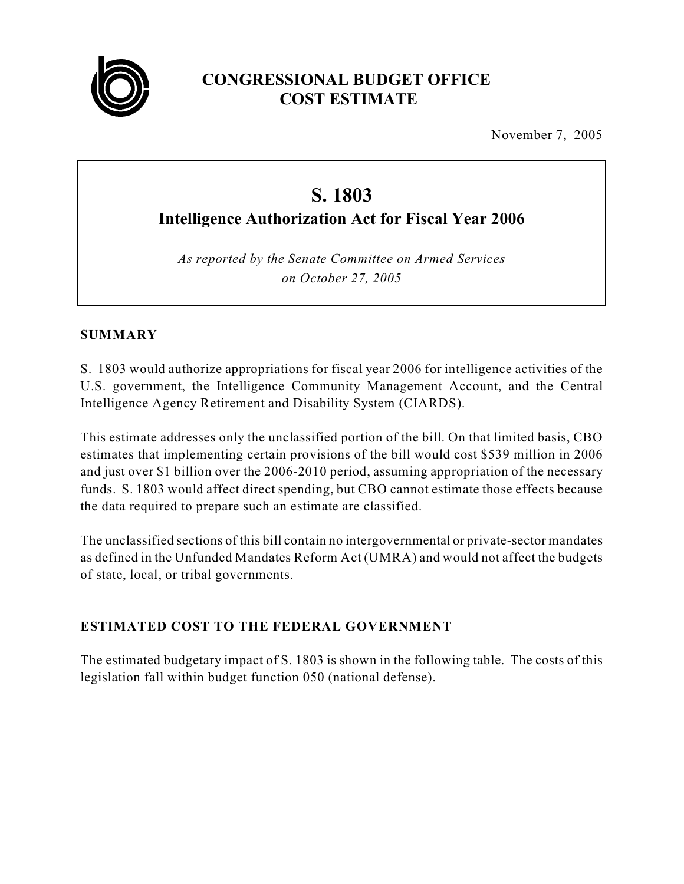

# **CONGRESSIONAL BUDGET OFFICE COST ESTIMATE**

November 7, 2005

# **S. 1803**

**Intelligence Authorization Act for Fiscal Year 2006**

*As reported by the Senate Committee on Armed Services on October 27, 2005*

# **SUMMARY**

S. 1803 would authorize appropriations for fiscal year 2006 for intelligence activities of the U.S. government, the Intelligence Community Management Account, and the Central Intelligence Agency Retirement and Disability System (CIARDS).

This estimate addresses only the unclassified portion of the bill. On that limited basis, CBO estimates that implementing certain provisions of the bill would cost \$539 million in 2006 and just over \$1 billion over the 2006-2010 period, assuming appropriation of the necessary funds. S. 1803 would affect direct spending, but CBO cannot estimate those effects because the data required to prepare such an estimate are classified.

The unclassified sections of this bill contain no intergovernmental or private-sector mandates as defined in the Unfunded Mandates Reform Act (UMRA) and would not affect the budgets of state, local, or tribal governments.

# **ESTIMATED COST TO THE FEDERAL GOVERNMENT**

The estimated budgetary impact of S. 1803 is shown in the following table. The costs of this legislation fall within budget function 050 (national defense).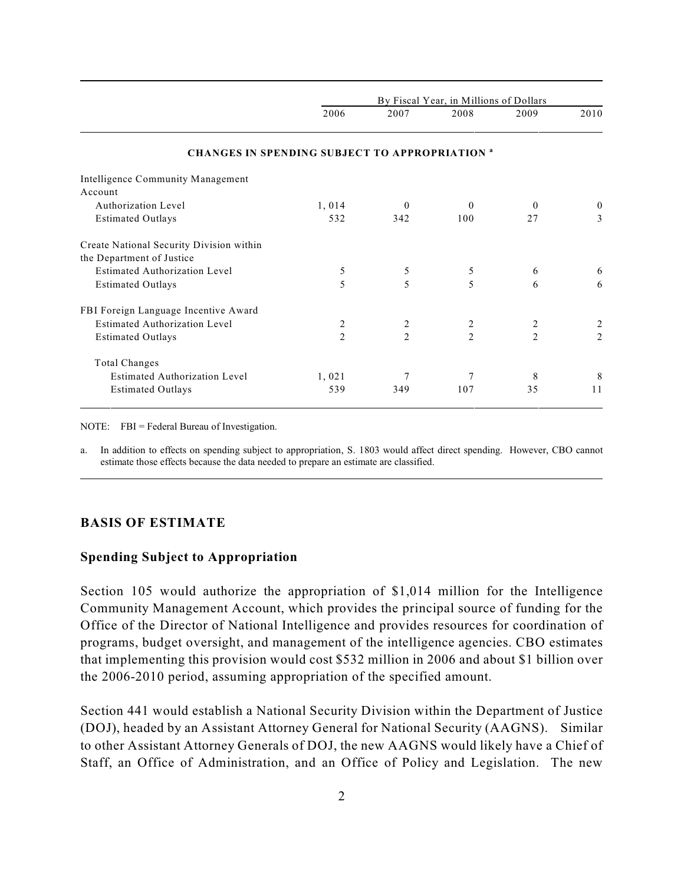|                                                        | By Fiscal Year, in Millions of Dollars |                |                |                |                |
|--------------------------------------------------------|----------------------------------------|----------------|----------------|----------------|----------------|
|                                                        | 2006                                   | 2007           | 2008           | 2009           | 2010           |
| <b>CHANGES IN SPENDING SUBJECT TO APPROPRIATION at</b> |                                        |                |                |                |                |
| Intelligence Community Management                      |                                        |                |                |                |                |
| Account                                                |                                        |                |                |                |                |
| Authorization Level                                    | 1,014                                  | $\theta$       | $\theta$       | $\Omega$       | $\theta$       |
| <b>Estimated Outlays</b>                               | 532                                    | 342            | 100            | 27             | 3              |
| Create National Security Division within               |                                        |                |                |                |                |
| the Department of Justice                              |                                        |                |                |                |                |
| <b>Estimated Authorization Level</b>                   | 5                                      | 5              | 5              | 6              | 6              |
| <b>Estimated Outlays</b>                               | 5                                      | 5              | 5              | 6              | 6              |
| FBI Foreign Language Incentive Award                   |                                        |                |                |                |                |
| <b>Estimated Authorization Level</b>                   | 2                                      | 2              | 2              | 2              | $\overline{c}$ |
| <b>Estimated Outlays</b>                               | $\overline{2}$                         | $\overline{2}$ | $\overline{2}$ | $\overline{2}$ | $\overline{2}$ |
| Total Changes                                          |                                        |                |                |                |                |
| <b>Estimated Authorization Level</b>                   | 1,021                                  | 7              | 7              | 8              | 8              |
| <b>Estimated Outlays</b>                               | 539                                    | 349            | 107            | 35             | 11             |

NOTE: FBI = Federal Bureau of Investigation.

a. In addition to effects on spending subject to appropriation, S. 1803 would affect direct spending. However, CBO cannot estimate those effects because the data needed to prepare an estimate are classified.

## **BASIS OF ESTIMATE**

#### **Spending Subject to Appropriation**

Section 105 would authorize the appropriation of \$1,014 million for the Intelligence Community Management Account, which provides the principal source of funding for the Office of the Director of National Intelligence and provides resources for coordination of programs, budget oversight, and management of the intelligence agencies. CBO estimates that implementing this provision would cost \$532 million in 2006 and about \$1 billion over the 2006-2010 period, assuming appropriation of the specified amount.

Section 441 would establish a National Security Division within the Department of Justice (DOJ), headed by an Assistant Attorney General for National Security (AAGNS). Similar to other Assistant Attorney Generals of DOJ, the new AAGNS would likely have a Chief of Staff, an Office of Administration, and an Office of Policy and Legislation. The new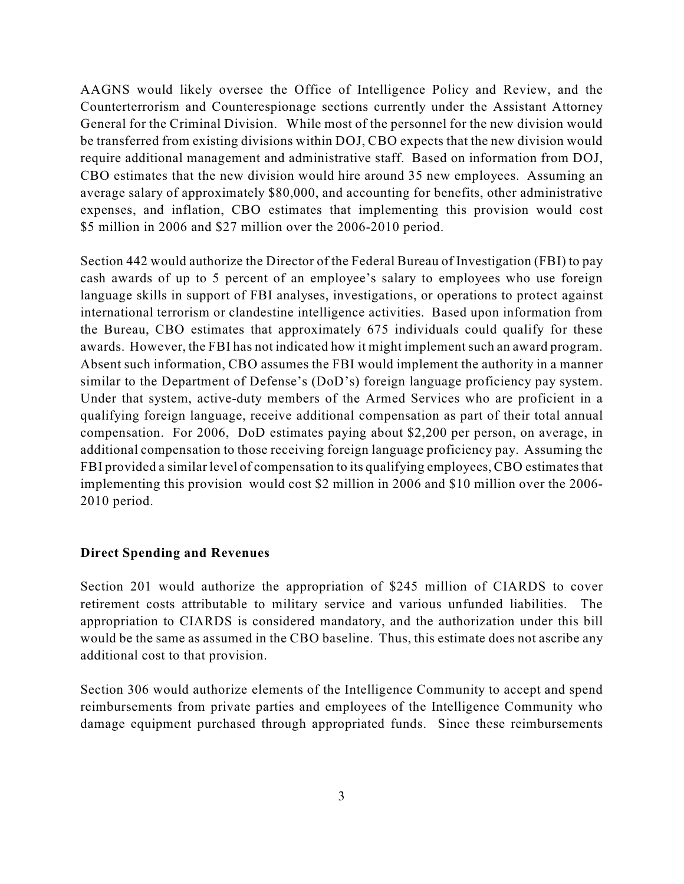AAGNS would likely oversee the Office of Intelligence Policy and Review, and the Counterterrorism and Counterespionage sections currently under the Assistant Attorney General for the Criminal Division. While most of the personnel for the new division would be transferred from existing divisions within DOJ, CBO expects that the new division would require additional management and administrative staff. Based on information from DOJ, CBO estimates that the new division would hire around 35 new employees. Assuming an average salary of approximately \$80,000, and accounting for benefits, other administrative expenses, and inflation, CBO estimates that implementing this provision would cost \$5 million in 2006 and \$27 million over the 2006-2010 period.

Section 442 would authorize the Director of the Federal Bureau of Investigation (FBI) to pay cash awards of up to 5 percent of an employee's salary to employees who use foreign language skills in support of FBI analyses, investigations, or operations to protect against international terrorism or clandestine intelligence activities. Based upon information from the Bureau, CBO estimates that approximately 675 individuals could qualify for these awards. However, the FBI has not indicated how it might implement such an award program. Absent such information, CBO assumes the FBI would implement the authority in a manner similar to the Department of Defense's (DoD's) foreign language proficiency pay system. Under that system, active-duty members of the Armed Services who are proficient in a qualifying foreign language, receive additional compensation as part of their total annual compensation. For 2006, DoD estimates paying about \$2,200 per person, on average, in additional compensation to those receiving foreign language proficiency pay. Assuming the FBI provided a similar level of compensation to its qualifying employees, CBO estimates that implementing this provision would cost \$2 million in 2006 and \$10 million over the 2006- 2010 period.

#### **Direct Spending and Revenues**

Section 201 would authorize the appropriation of \$245 million of CIARDS to cover retirement costs attributable to military service and various unfunded liabilities. The appropriation to CIARDS is considered mandatory, and the authorization under this bill would be the same as assumed in the CBO baseline. Thus, this estimate does not ascribe any additional cost to that provision.

Section 306 would authorize elements of the Intelligence Community to accept and spend reimbursements from private parties and employees of the Intelligence Community who damage equipment purchased through appropriated funds. Since these reimbursements